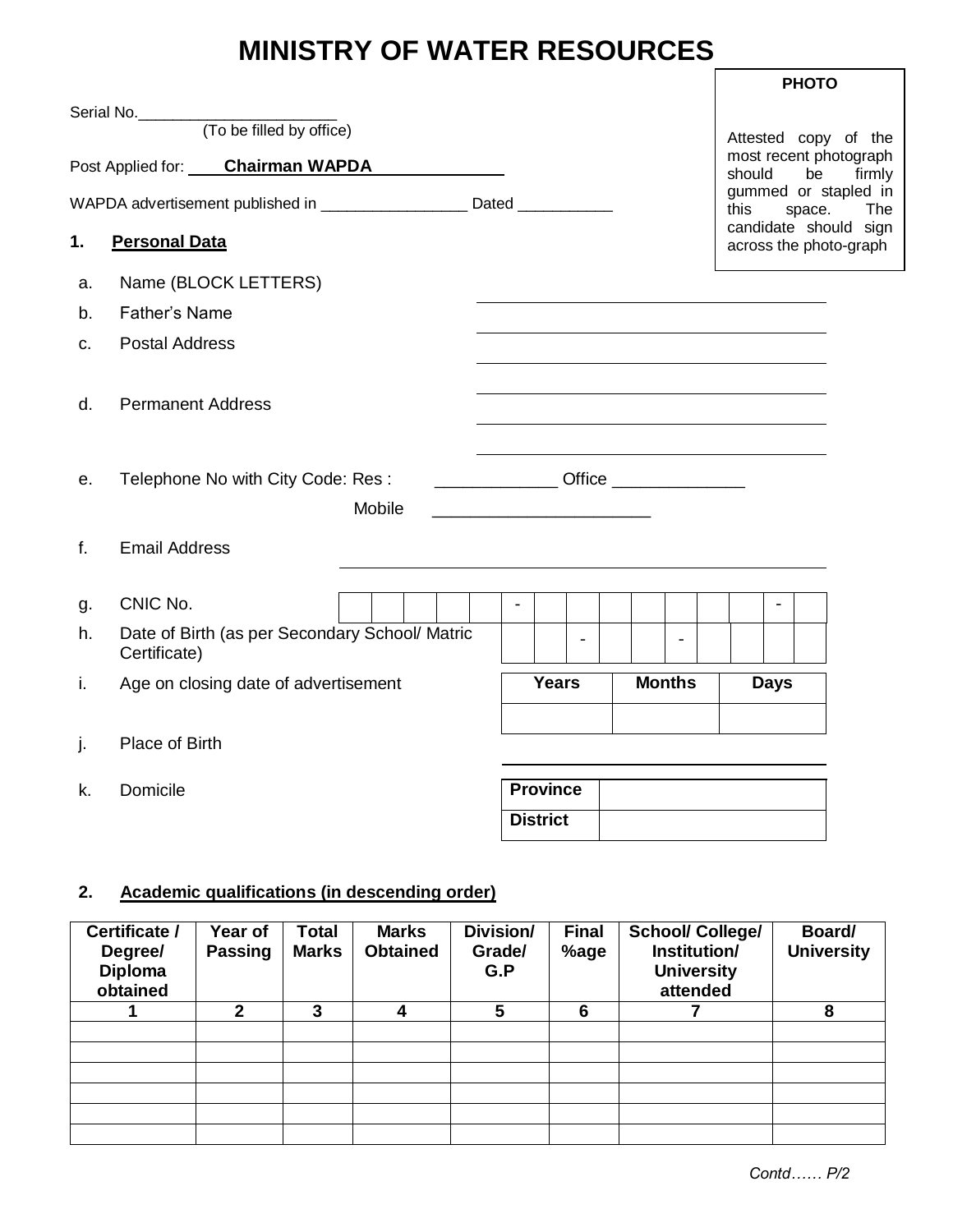# **MINISTRY OF WATER RESOURCES**

|    |                                                                          |                          |               | <b>PHOTO</b>                                    |        |
|----|--------------------------------------------------------------------------|--------------------------|---------------|-------------------------------------------------|--------|
|    |                                                                          |                          |               | Attested copy of the                            |        |
|    | Post Applied for: Chairman WAPDA                                         |                          |               | most recent photograph<br>should<br>be          | firmly |
|    | WAPDA advertisement published in _____________________ Dated ___________ |                          |               | gummed or stapled in<br>this<br>space.          | The    |
| 1. | <b>Personal Data</b>                                                     |                          |               | candidate should sign<br>across the photo-graph |        |
| a. | Name (BLOCK LETTERS)                                                     |                          |               |                                                 |        |
| b. | <b>Father's Name</b>                                                     |                          |               |                                                 |        |
| C. | <b>Postal Address</b>                                                    |                          |               |                                                 |        |
| d. | <b>Permanent Address</b>                                                 |                          |               |                                                 |        |
| е. | Telephone No with City Code: Res:<br>Mobile                              |                          |               |                                                 |        |
| f. | <b>Email Address</b>                                                     |                          |               |                                                 |        |
| g. | CNIC No.                                                                 | $\blacksquare$           |               | $\blacksquare$                                  |        |
| h. | Date of Birth (as per Secondary School/ Matric<br>Certificate)           | $\overline{\phantom{a}}$ |               |                                                 |        |
| İ. | Age on closing date of advertisement                                     | <b>Years</b>             | <b>Months</b> | <b>Days</b>                                     |        |
| j. | Place of Birth                                                           |                          |               |                                                 |        |
| k. | Domicile                                                                 | <b>Province</b>          |               |                                                 |        |
|    |                                                                          | <b>District</b>          |               |                                                 |        |

# **2. Academic qualifications (in descending order)**

| Certificate /<br>Degree/<br><b>Diploma</b><br>obtained | Year of<br><b>Passing</b> | <b>Total</b><br><b>Marks</b> | <b>Marks</b><br><b>Obtained</b> | Division/<br>Grade/<br>G.P | <b>Final</b><br>%age | <b>School/ College/</b><br>Institution/<br><b>University</b><br>attended | Board/<br><b>University</b> |
|--------------------------------------------------------|---------------------------|------------------------------|---------------------------------|----------------------------|----------------------|--------------------------------------------------------------------------|-----------------------------|
|                                                        | $\mathbf{2}$              | 3                            | 4                               | 5                          | 6                    |                                                                          | 8                           |
|                                                        |                           |                              |                                 |                            |                      |                                                                          |                             |
|                                                        |                           |                              |                                 |                            |                      |                                                                          |                             |
|                                                        |                           |                              |                                 |                            |                      |                                                                          |                             |
|                                                        |                           |                              |                                 |                            |                      |                                                                          |                             |
|                                                        |                           |                              |                                 |                            |                      |                                                                          |                             |
|                                                        |                           |                              |                                 |                            |                      |                                                                          |                             |